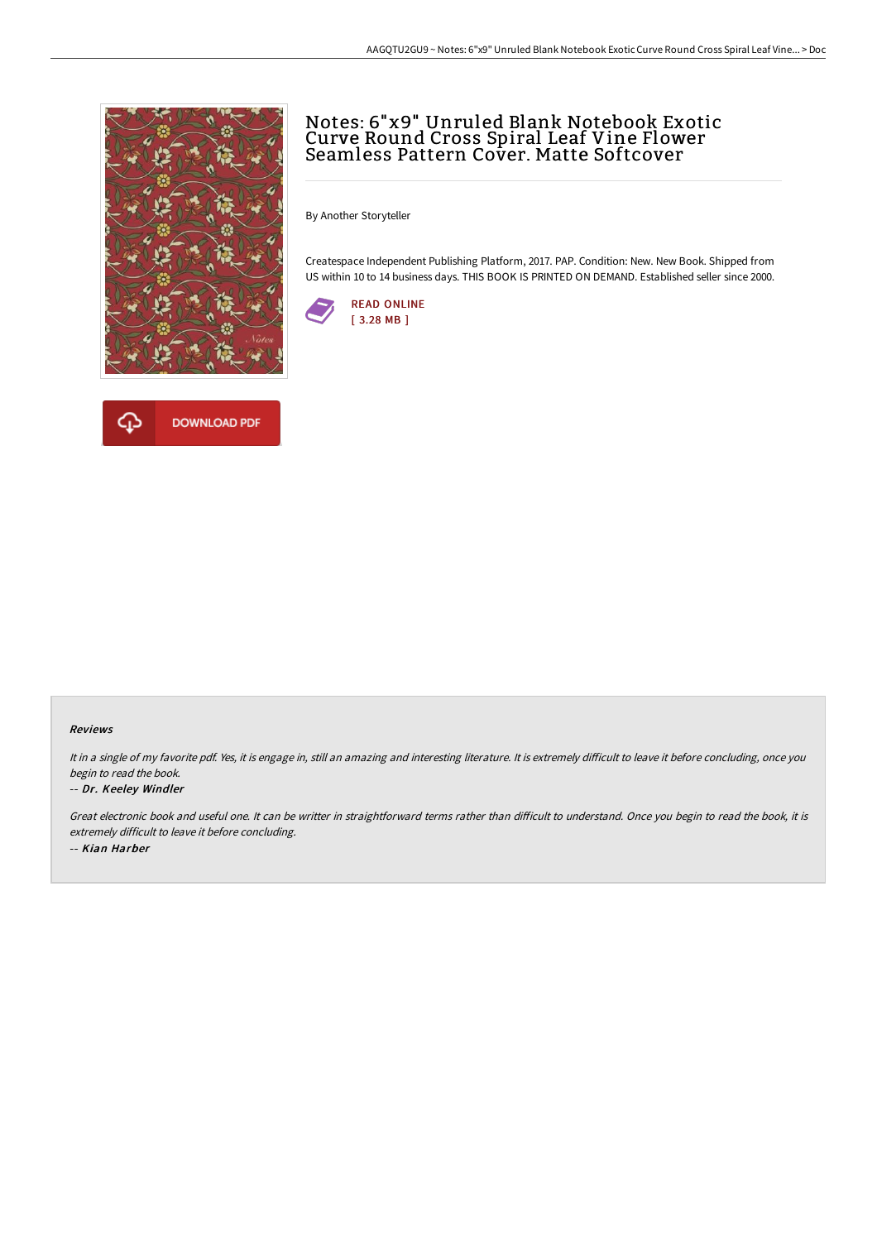



# Notes: 6"x9" Unruled Blank Notebook Exotic Curve Round Cross Spiral Leaf Vine Flower Seamless Pattern Cover. Matte Softcover

By Another Storyteller

Createspace Independent Publishing Platform, 2017. PAP. Condition: New. New Book. Shipped from US within 10 to 14 business days. THIS BOOK IS PRINTED ON DEMAND. Established seller since 2000.



#### Reviews

It in a single of my favorite pdf. Yes, it is engage in, still an amazing and interesting literature. It is extremely difficult to leave it before concluding, once you begin to read the book.

#### -- Dr. Keeley Windler

Great electronic book and useful one. It can be writter in straightforward terms rather than difficult to understand. Once you begin to read the book, it is extremely difficult to leave it before concluding. -- Kian Harber